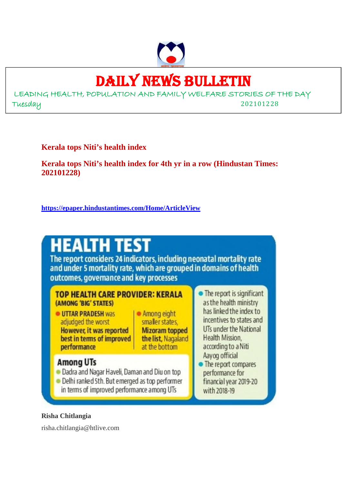

# DAILY NEWS BULLETIN

LEADING HEALTH, POPULATION AND FAMILY WELFARE STORIES OF THE DAY Tuesday 202101228

**Kerala tops Niti's health index**

**Kerala tops Niti's health index for 4th yr in a row (Hindustan Times: 202101228)**

**https://epaper.hindustantimes.com/Home/ArticleView**



#### **Risha Chitlangia**

risha.chitlangia@htlive.com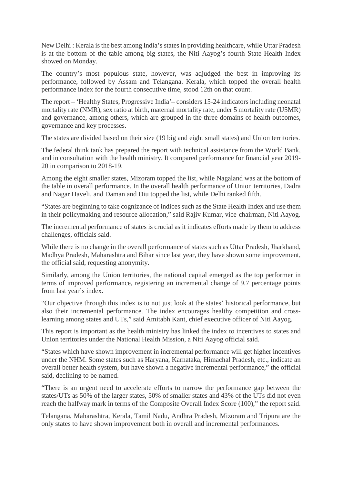New Delhi : Kerala is the best among India's states in providing healthcare, while Uttar Pradesh is at the bottom of the table among big states, the Niti Aayog's fourth State Health Index showed on Monday.

The country's most populous state, however, was adjudged the best in improving its performance, followed by Assam and Telangana. Kerala, which topped the overall health performance index for the fourth consecutive time, stood 12th on that count.

The report – 'Healthy States, Progressive India'– considers 15-24 indicators including neonatal mortality rate (NMR), sex ratio at birth, maternal mortality rate, under 5 mortality rate (U5MR) and governance, among others, which are grouped in the three domains of health outcomes, governance and key processes.

The states are divided based on their size (19 big and eight small states) and Union territories.

The federal think tank has prepared the report with technical assistance from the World Bank, and in consultation with the health ministry. It compared performance for financial year 2019- 20 in comparison to 2018-19.

Among the eight smaller states, Mizoram topped the list, while Nagaland was at the bottom of the table in overall performance. In the overall health performance of Union territories, Dadra and Nagar Haveli, and Daman and Diu topped the list, while Delhi ranked fifth.

"States are beginning to take cognizance of indices such as the State Health Index and use them in their policymaking and resource allocation," said Rajiv Kumar, vice-chairman, Niti Aayog.

The incremental performance of states is crucial as it indicates efforts made by them to address challenges, officials said.

While there is no change in the overall performance of states such as Uttar Pradesh, Jharkhand, Madhya Pradesh, Maharashtra and Bihar since last year, they have shown some improvement, the official said, requesting anonymity.

Similarly, among the Union territories, the national capital emerged as the top performer in terms of improved performance, registering an incremental change of 9.7 percentage points from last year's index.

"Our objective through this index is to not just look at the states' historical performance, but also their incremental performance. The index encourages healthy competition and crosslearning among states and UTs," said Amitabh Kant, chief executive officer of Niti Aayog.

This report is important as the health ministry has linked the index to incentives to states and Union territories under the National Health Mission, a Niti Aayog official said.

"States which have shown improvement in incremental performance will get higher incentives under the NHM. Some states such as Haryana, Karnataka, Himachal Pradesh, etc., indicate an overall better health system, but have shown a negative incremental performance," the official said, declining to be named.

"There is an urgent need to accelerate efforts to narrow the performance gap between the states/UTs as 50% of the larger states, 50% of smaller states and 43% of the UTs did not even reach the halfway mark in terms of the Composite Overall Index Score (100)," the report said.

Telangana, Maharashtra, Kerala, Tamil Nadu, Andhra Pradesh, Mizoram and Tripura are the only states to have shown improvement both in overall and incremental performances.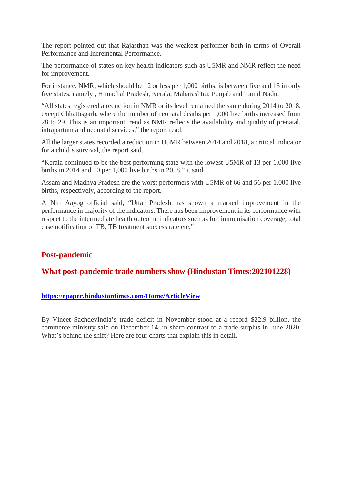The report pointed out that Rajasthan was the weakest performer both in terms of Overall Performance and Incremental Performance.

The performance of states on key health indicators such as U5MR and NMR reflect the need for improvement.

For instance, NMR, which should be 12 or less per 1,000 births, is between five and 13 in only five states, namely , Himachal Pradesh, Kerala, Maharashtra, Punjab and Tamil Nadu.

"All states registered a reduction in NMR or its level remained the same during 2014 to 2018, except Chhattisgarh, where the number of neonatal deaths per 1,000 live births increased from 28 to 29. This is an important trend as NMR reflects the availability and quality of prenatal, intrapartum and neonatal services," the report read.

All the larger states recorded a reduction in U5MR between 2014 and 2018, a critical indicator for a child's survival, the report said.

"Kerala continued to be the best performing state with the lowest U5MR of 13 per 1,000 live births in 2014 and 10 per 1,000 live births in 2018," it said.

Assam and Madhya Pradesh are the worst performers with U5MR of 66 and 56 per 1,000 live births, respectively, according to the report.

A Niti Aayog official said, "Uttar Pradesh has shown a marked improvement in the performance in majority of the indicators. There has been improvement in its performance with respect to the intermediate health outcome indicators such as full immunisation coverage, total case notification of TB, TB treatment success rate etc."

#### **Post-pandemic**

#### **What post-pandemic trade numbers show (Hindustan Times:202101228)**

#### **https://epaper.hindustantimes.com/Home/ArticleView**

By Vineet SachdevIndia's trade deficit in November stood at a record \$22.9 billion, the commerce ministry said on December 14, in sharp contrast to a trade surplus in June 2020. What's behind the shift? Here are four charts that explain this in detail.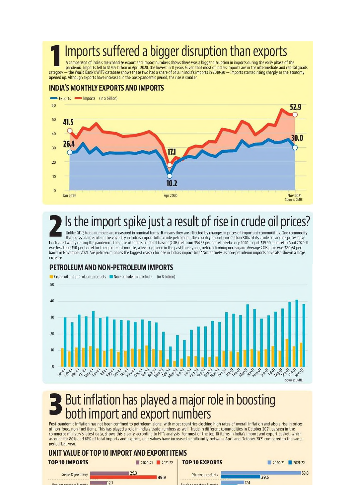# Imports suffered a bigger disruption than exports

A comparison of India's merchandise export and import numbers shows there was a bigger disruption in imports during the early phase of the pandemic. Imports fell to \$17.09 billion in April 2020, the lowest in 11 years. Given that most of India's imports are in the intermediate and capital goods - the World Bank's WITS database shows these two had a share of 54% in India's imports in 2019-20 - imports started rising sharply as the economy category opened up. Although exports have increased in the post-pandemic period, the rise is smaller.

#### **INDIA'S MONTHLY EXPORTS AND IMPORTS**



# Is the import spike just a result of rise in crude oil prices?

Unlike GDP, trade numbers are measured in nominal terms. It means they are affected by changes in prices of important commodities. One commodity that plays a large role in the volatility in India's import bill is crude petroleum. The country imports more than 80% of its crude oil, and its prices have fluctuated wildly during the pandemic. The price of India's crude oil basket (COB) fell from \$54.63 per barrel in February 2020 to just \$19.90 a barrel in April 2020. It was less than \$50 per barrel for the next eight months, a level not seen in the past three years, before climbing once again. Average COB price was \$80.64 per barrel in November 2021. Are petroleum prices the biggest reason for rise in India's import bills? Not entirely, as non-petroleum imports have also shown a large increase

#### PETROLEUM AND NON-PETROLEUM IMPORTS



# But inflation has played a major role in boosting both import and export numbers

Post-pandemic inflation has not been confined to petroleum alone, with most countries clocking high rates of overall inflation and also a rise in prices of non-food, non-fuel items. This has played a role in India's trade numbers as well. Trade in different commodities in October 2021, as seen in the commerce ministry's latest data, shows this clearly, according to HT's analysis. For most of the top 10 items in India's import and export basket, which account for 80% and 61% of total imports and exports, unit values have increased significantly between April and October 2021 compared to the same period last year.

# UNIT VALUE OF TOP 10 IMPORT AND EXPORT ITEMS

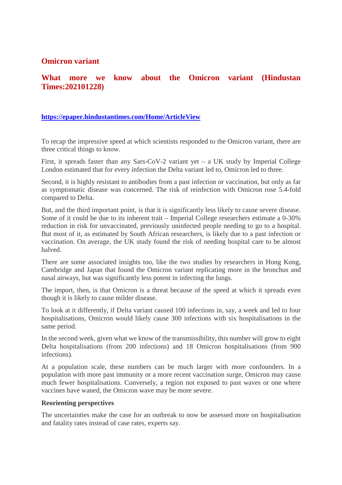#### **Omicron variant**

#### **What more we know about the Omicron variant (Hindustan Times:202101228)**

#### **https://epaper.hindustantimes.com/Home/ArticleView**

To recap the impressive speed at which scientists responded to the Omicron variant, there are three critical things to know.

First, it spreads faster than any Sars-CoV-2 variant yet – a UK study by Imperial College London estimated that for every infection the Delta variant led to, Omicron led to three.

Second, it is highly resistant to antibodies from a past infection or vaccination, but only as far as symptomatic disease was concerned. The risk of reinfection with Omicron rose 5.4-fold compared to Delta.

But, and the third important point, is that it is significantly less likely to cause severe disease. Some of it could be due to its inherent trait – Imperial College researchers estimate a 0-30% reduction in risk for unvaccinated, previously uninfected people needing to go to a hospital. But most of it, as estimated by South African researchers, is likely due to a past infection or vaccination. On average, the UK study found the risk of needing hospital care to be almost halved.

There are some associated insights too, like the two studies by researchers in Hong Kong, Cambridge and Japan that found the Omicron variant replicating more in the bronchus and nasal airways, but was significantly less potent in infecting the lungs.

The import, then, is that Omicron is a threat because of the speed at which it spreads even though it is likely to cause milder disease.

To look at it differently, if Delta variant caused 100 infections in, say, a week and led to four hospitalisations, Omicron would likely cause 300 infections with six hospitalisations in the same period.

In the second week, given what we know of the transmissibility, this number will grow to eight Delta hospitalisations (from 200 infections) and 18 Omicron hospitalisations (from 900 infections).

At a population scale, these numbers can be much larger with more confounders. In a population with more past immunity or a more recent vaccination surge, Omicron may cause much fewer hospitalisations. Conversely, a region not exposed to past waves or one where vaccines have waned, the Omicron wave may be more severe.

#### **Reorienting perspectives**

The uncertainties make the case for an outbreak to now be assessed more on hospitalisation and fatality rates instead of case rates, experts say.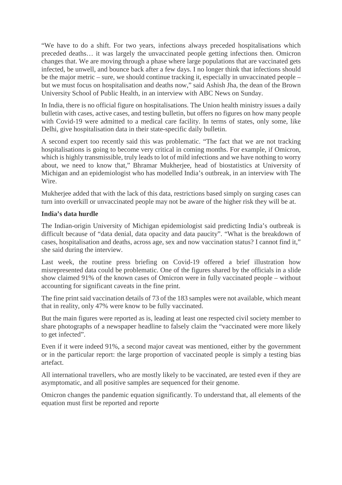"We have to do a shift. For two years, infections always preceded hospitalisations which preceded deaths… it was largely the unvaccinated people getting infections then. Omicron changes that. We are moving through a phase where large populations that are vaccinated gets infected, be unwell, and bounce back after a few days. I no longer think that infections should be the major metric – sure, we should continue tracking it, especially in unvaccinated people – but we must focus on hospitalisation and deaths now," said Ashish Jha, the dean of the Brown University School of Public Health, in an interview with ABC News on Sunday.

In India, there is no official figure on hospitalisations. The Union health ministry issues a daily bulletin with cases, active cases, and testing bulletin, but offers no figures on how many people with Covid-19 were admitted to a medical care facility. In terms of states, only some, like Delhi, give hospitalisation data in their state-specific daily bulletin.

A second expert too recently said this was problematic. "The fact that we are not tracking hospitalisations is going to become very critical in coming months. For example, if Omicron, which is highly transmissible, truly leads to lot of mild infections and we have nothing to worry about, we need to know that," Bhramar Mukherjee, head of biostatistics at University of Michigan and an epidemiologist who has modelled India's outbreak, in an interview with The Wire.

Mukherjee added that with the lack of this data, restrictions based simply on surging cases can turn into overkill or unvaccinated people may not be aware of the higher risk they will be at.

#### **India's data hurdle**

The Indian-origin University of Michigan epidemiologist said predicting India's outbreak is difficult because of "data denial, data opacity and data paucity". "What is the breakdown of cases, hospitalisation and deaths, across age, sex and now vaccination status? I cannot find it," she said during the interview.

Last week, the routine press briefing on Covid-19 offered a brief illustration how misrepresented data could be problematic. One of the figures shared by the officials in a slide show claimed 91% of the known cases of Omicron were in fully vaccinated people – without accounting for significant caveats in the fine print.

The fine print said vaccination details of 73 of the 183 samples were not available, which meant that in reality, only 47% were know to be fully vaccinated.

But the main figures were reported as is, leading at least one respected civil society member to share photographs of a newspaper headline to falsely claim the "vaccinated were more likely to get infected".

Even if it were indeed 91%, a second major caveat was mentioned, either by the government or in the particular report: the large proportion of vaccinated people is simply a testing bias artefact.

All international travellers, who are mostly likely to be vaccinated, are tested even if they are asymptomatic, and all positive samples are sequenced for their genome.

Omicron changes the pandemic equation significantly. To understand that, all elements of the equation must first be reported and reporte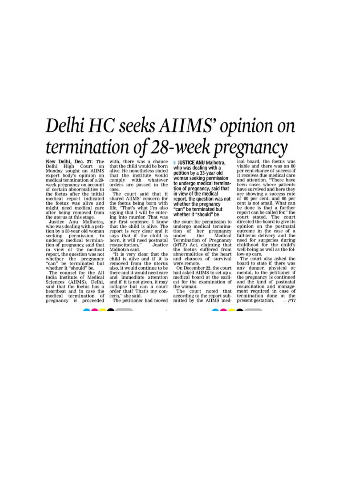# Delhi HC seeks AIIMS' opinion on termination of 28-week pregnancy

New Delhi, Dec. 27: The Delhi High Court on<br>Monday sought an AIIMS expert body's opinion on medical termination of a 28week pregnancy on account of certain abnormalities in the foetus after the initial medical report indicated the foetus was alive and<br>might need medical care after being removed from the uterus at this stage.

Justice Anu Malhotra, who was dealing with a petition by a 33-year old woman seeking permission to<br>undergo medical termina-<br>tion of pregnancy, said that in view of the medical<br>report, the question was not whether the pregnancy<br>"can" be terminated but<br>whether it "should" be.

The counsel for the All<br>India Institute of Medical<br>Sciences (AIIMS), Delhi,<br>said that the foetus has a heartbeat and in case the medical termination of pregnancy is proceeded

with, there was a chance that the child would be born alive. He nonetheless stated that the institute would<br>comply with whatever orders are passed in the case.

The court said that it<br>shared AIIMS' concern for the foetus being born with<br>life. "That's what I'm also<br>saying that I will be entering into murder. That was my first sentence. I know that the child is alive. The report is very clear and it<br>says that if the child is born, it will need postnatal<br>resuscitation," Justice Malhotra said.

"It is very clear that the child is alive and if it is removed from the uterus also, it would continue to be there and it would need care and immediate attention and if it is not given, it may collapse but can a court order that? That's my concern," she said.

The petitioner had moved

--

**JUSTICE ANU Malhotra.** who was dealing with a petition by a 33-year old woman seeking permission<br>to undergo medical termination of pregnancy, said that in view of the medical report, the question was not whether the pregnancy "can" be terminated but whether it "should" be

the court for permission to undergo medical termination of her pregnancy under the Medical Termination of Pregnancy<br>(MTP) Act, claiming that<br>the foetus suffered from abnormalities of the heart and chances of survival were remote.

On December 22, the court had asked AIIMS to set up a medical board at the earliest for the examination of the woman.

The court noted that<br>according to the report sub-<br>mitted by the AIIMS med-

ical board, the foetus was viable and there was an 80<br>per cent chance of success if it receives due medical care<br>and attention. "There have been cases where patients have survived and here they are showing a success rate of 80 per cent, and 80 per cent is not small. What can be done is that a further<br>report can be called for," the court stated. The court directed the board to give its opinion on the postnatal<br>outcome in the case of a full-term delivery and the need for surgeries during<br>childhood for the child's well-being as well as the follow-up care.

The court also asked the board to state if there was any danger, physical or mental, to the petitioner if<br>the pregnancy is continued and the kind of postnatal<br>resuscitation and management required in case of termination done at the present gestation. PTI

**Contract Contract Contract Contract**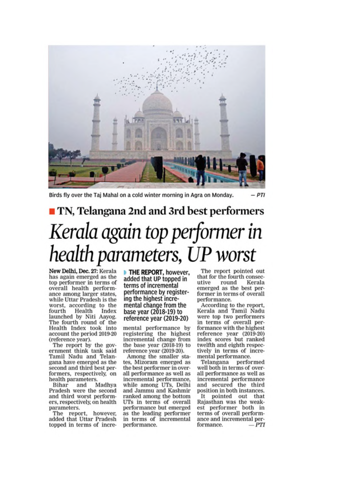

 $-PTI$ Birds fly over the Taj Mahal on a cold winter morning in Agra on Monday.

# TN, Telangana 2nd and 3rd best performers Kerala again top performer in health parameters, UP worst

New Delhi, Dec. 27: Kerala has again emerged as the top performer in terms of overall health performance among larger states, while Uttar Pradesh is the worst, according to the Health fourth Index launched by Niti Aayog. The fourth round of the Health Index took into account the period 2019-20 (reference year).

The report by the government think tank said Tamil Nadu and Telangana have emerged as the second and third best performers, respectively, on health parameters.

Bihar Madhya and Pradesh were the second and third worst performers, respectively, on health parameters.

The report, however, added that Uttar Pradesh topped in terms of increTHE REPORT, however, added that UP topped in terms of incremental performance by registering the highest incremental change from the base year (2018-19) to reference year (2019-20)

mental performance by registering the highest incremental change from the base year (2018-19) to reference year (2019-20).

Among the smaller states, Mizoram emerged as the best performer in overall performance as well as incremental performance, while among UTs, Delhi and Jammu and Kashmir ranked among the bottom UTs in terms of overall performance but emerged as the leading performer in terms of incremental performance.

The report pointed out that for the fourth consecround Kerala utive emerged as the best performer in terms of overall performance.

According to the report, Kerala and Tamil Nadu were top two performers in terms of overall performance with the highest reference year (2019-20) index scores but ranked twelfth and eighth respectively in terms of incremental performance.

Telangana performed well both in terms of overall performance as well as incremental performance and secured the third<br>position in both instances. It pointed out that Rajasthan was the weakest performer both in terms of overall performance and incremental performance.  $-PTI$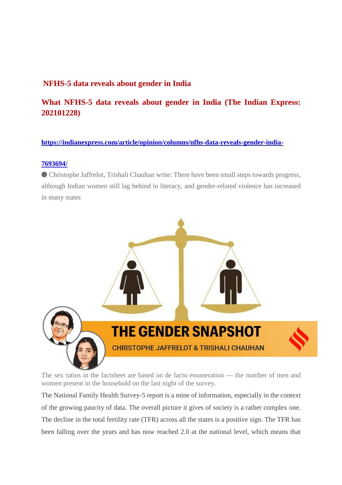## **NFHS-5 data reveals about gender in India**

# **What NFHS-5 data reveals about gender in India (The Indian Express: 202101228)**

#### **https://indianexpress.com/article/opinion/columns/nfhs-data-reveals-gender-india-**

#### **7693694/**

⬤ Christophe Jaffrelot, Trishali Chauhan write: There have been small steps towards progress, although Indian women still lag behind in literacy, and gender-related violence has increased in many states



The sex ratios in the factsheet are based on de facto enumeration — the number of men and women present in the household on the last night of the survey.

The National Family Health Survey-5 report is a mine of information, especially in the context of the growing paucity of data. The overall picture it gives of society is a rather complex one. The decline in the total fertility rate (TFR) across all the states is a positive sign. The TFR has been falling over the years and has now reached 2.0 at the national level, which means that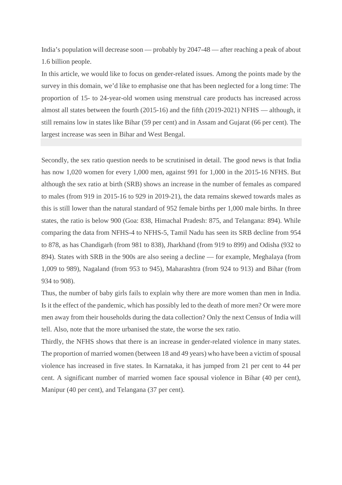India's population will decrease soon — probably by 2047-48 — after reaching a peak of about 1.6 billion people.

In this article, we would like to focus on gender-related issues. Among the points made by the survey in this domain, we'd like to emphasise one that has been neglected for a long time: The proportion of 15- to 24-year-old women using menstrual care products has increased across almost all states between the fourth (2015-16) and the fifth (2019-2021) NFHS — although, it still remains low in states like Bihar (59 per cent) and in Assam and Gujarat (66 per cent). The largest increase was seen in Bihar and West Bengal.

Secondly, the sex ratio question needs to be scrutinised in detail. The good news is that India has now 1,020 women for every 1,000 men, against 991 for 1,000 in the 2015-16 NFHS. But although the sex ratio at birth (SRB) shows an increase in the number of females as compared to males (from 919 in 2015-16 to 929 in 2019-21), the data remains skewed towards males as this is still lower than the natural standard of 952 female births per 1,000 male births. In three states, the ratio is below 900 (Goa: 838, Himachal Pradesh: 875, and Telangana: 894). While comparing the data from NFHS-4 to NFHS-5, Tamil Nadu has seen its SRB decline from 954 to 878, as has Chandigarh (from 981 to 838), Jharkhand (from 919 to 899) and Odisha (932 to 894). States with SRB in the 900s are also seeing a decline — for example, Meghalaya (from 1,009 to 989), Nagaland (from 953 to 945), Maharashtra (from 924 to 913) and Bihar (from 934 to 908).

Thus, the number of baby girls fails to explain why there are more women than men in India. Is it the effect of the pandemic, which has possibly led to the death of more men? Or were more men away from their households during the data collection? Only the next Census of India will tell. Also, note that the more urbanised the state, the worse the sex ratio.

Thirdly, the NFHS shows that there is an increase in gender-related violence in many states. The proportion of married women (between 18 and 49 years) who have been a victim of spousal violence has increased in five states. In Karnataka, it has jumped from 21 per cent to 44 per cent. A significant number of married women face spousal violence in Bihar (40 per cent), Manipur (40 per cent), and Telangana (37 per cent).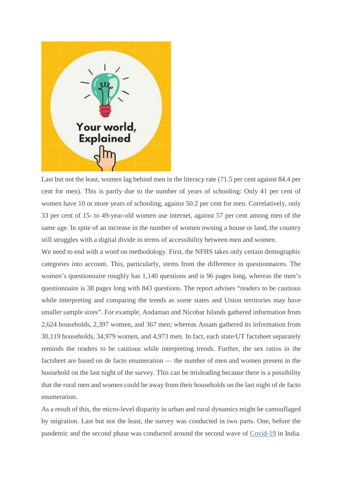

Last but not the least, women lag behind men in the literacy rate (71.5 per cent against 84.4 per cent for men). This is partly due to the number of years of schooling: Only 41 per cent of women have 10 or more years of schooling, against 50.2 per cent for men. Correlatively, only 33 per cent of 15- to 49-year-old women use internet, against 57 per cent among men of the same age. In spite of an increase in the number of women owning a house or land, the country still struggles with a digital divide in terms of accessibility between men and women.

We need to end with a word on methodology. First, the NFHS takes only certain demographic categories into account. This, particularly, stems from the difference in questionnaires. The women's questionnaire roughly has 1,140 questions and is 96 pages long, whereas the men's questionnaire is 38 pages long with 843 questions. The report advises "readers to be cautious while interpreting and comparing the trends as some states and Union territories may have smaller sample sizes". For example, Andaman and Nicobar Islands gathered information from 2,624 households, 2,397 women, and 367 men; whereas Assam gathered its information from 30,119 households, 34,979 women, and 4,973 men. In fact, each state/UT factsheet separately reminds the readers to be cautious while interpreting trends. Further, the sex ratios in the factsheet are based on de facto enumeration — the number of men and women present in the household on the last night of the survey. This can be misleading because there is a possibility that the rural men and women could be away from their households on the last night of de facto enumeration.

As a result of this, the micro-level disparity in urban and rural dynamics might be camouflaged by migration. Last but not the least, the survey was conducted in two parts. One, before the pandemic and the second phase was conducted around the second wave of Covid-19 in India.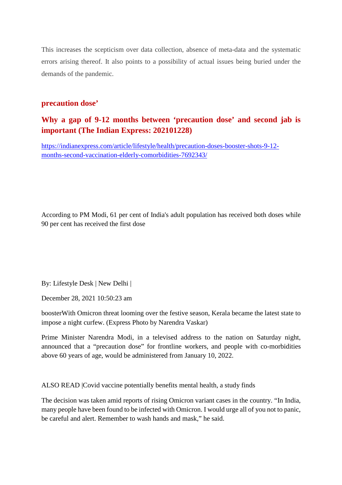This increases the scepticism over data collection, absence of meta-data and the systematic errors arising thereof. It also points to a possibility of actual issues being buried under the demands of the pandemic.

#### **precaution dose'**

## **Why a gap of 9-12 months between 'precaution dose' and second jab is important (The Indian Express: 202101228)**

https://indianexpress.com/article/lifestyle/health/precaution-doses-booster-shots-9-12 months-second-vaccination-elderly-comorbidities-7692343/

According to PM Modi, 61 per cent of India's adult population has received both doses while 90 per cent has received the first dose

By: Lifestyle Desk | New Delhi |

December 28, 2021 10:50:23 am

boosterWith Omicron threat looming over the festive season, Kerala became the latest state to impose a night curfew. (Express Photo by Narendra Vaskar)

Prime Minister Narendra Modi, in a televised address to the nation on Saturday night, announced that a "precaution dose" for frontline workers, and people with co-morbidities above 60 years of age, would be administered from January 10, 2022.

ALSO READ |Covid vaccine potentially benefits mental health, a study finds

The decision was taken amid reports of rising Omicron variant cases in the country. "In India, many people have been found to be infected with Omicron. I would urge all of you not to panic, be careful and alert. Remember to wash hands and mask," he said.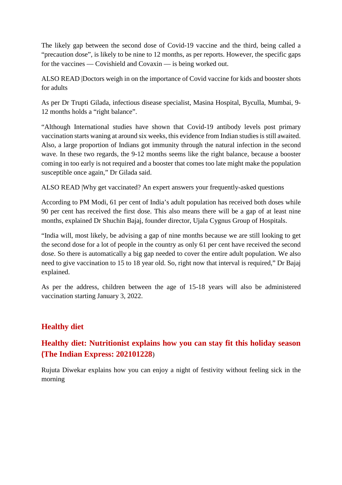The likely gap between the second dose of Covid-19 vaccine and the third, being called a "precaution dose", is likely to be nine to 12 months, as per reports. However, the specific gaps for the vaccines — Covishield and Covaxin — is being worked out.

ALSO READ |Doctors weigh in on the importance of Covid vaccine for kids and booster shots for adults

As per Dr Trupti Gilada, infectious disease specialist, Masina Hospital, Byculla, Mumbai, 9- 12 months holds a "right balance".

"Although International studies have shown that Covid-19 antibody levels post primary vaccination starts waning at around six weeks, this evidence from Indian studies is still awaited. Also, a large proportion of Indians got immunity through the natural infection in the second wave. In these two regards, the 9-12 months seems like the right balance, because a booster coming in too early is not required and a booster that comes too late might make the population susceptible once again," Dr Gilada said.

ALSO READ |Why get vaccinated? An expert answers your frequently-asked questions

According to PM Modi, 61 per cent of India's adult population has received both doses while 90 per cent has received the first dose. This also means there will be a gap of at least nine months, explained Dr Shuchin Bajaj, founder director, Ujala Cygnus Group of Hospitals.

"India will, most likely, be advising a gap of nine months because we are still looking to get the second dose for a lot of people in the country as only 61 per cent have received the second dose. So there is automatically a big gap needed to cover the entire adult population. We also need to give vaccination to 15 to 18 year old. So, right now that interval is required," Dr Bajaj explained.

As per the address, children between the age of 15-18 years will also be administered vaccination starting January 3, 2022.

# **Healthy diet**

# **Healthy diet: Nutritionist explains how you can stay fit this holiday season (The Indian Express: 202101228**)

Rujuta Diwekar explains how you can enjoy a night of festivity without feeling sick in the morning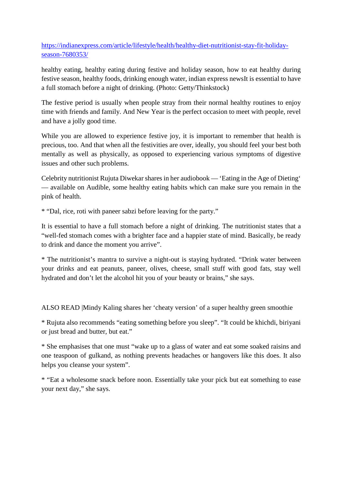https://indianexpress.com/article/lifestyle/health/healthy-diet-nutritionist-stay-fit-holidayseason-7680353/

healthy eating, healthy eating during festive and holiday season, how to eat healthy during festive season, healthy foods, drinking enough water, indian express newsIt is essential to have a full stomach before a night of drinking. (Photo: Getty/Thinkstock)

The festive period is usually when people stray from their normal healthy routines to enjoy time with friends and family. And New Year is the perfect occasion to meet with people, revel and have a jolly good time.

While you are allowed to experience festive joy, it is important to remember that health is precious, too. And that when all the festivities are over, ideally, you should feel your best both mentally as well as physically, as opposed to experiencing various symptoms of digestive issues and other such problems.

Celebrity nutritionist Rujuta Diwekar shares in her audiobook — 'Eating in the Age of Dieting' — available on Audible, some healthy eating habits which can make sure you remain in the pink of health.

\* "Dal, rice, roti with paneer sabzi before leaving for the party."

It is essential to have a full stomach before a night of drinking. The nutritionist states that a "well-fed stomach comes with a brighter face and a happier state of mind. Basically, be ready to drink and dance the moment you arrive".

\* The nutritionist's mantra to survive a night-out is staying hydrated. "Drink water between your drinks and eat peanuts, paneer, olives, cheese, small stuff with good fats, stay well hydrated and don't let the alcohol hit you of your beauty or brains," she says.

ALSO READ |Mindy Kaling shares her 'cheaty version' of a super healthy green smoothie

\* Rujuta also recommends "eating something before you sleep". "It could be khichdi, biriyani or just bread and butter, but eat."

\* She emphasises that one must "wake up to a glass of water and eat some soaked raisins and one teaspoon of gulkand, as nothing prevents headaches or hangovers like this does. It also helps you cleanse your system".

\* "Eat a wholesome snack before noon. Essentially take your pick but eat something to ease your next day," she says.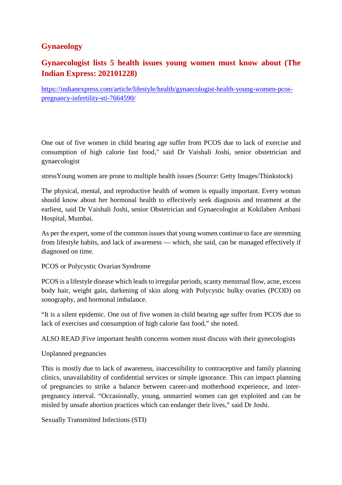# **Gynaeology**

# **Gynaecologist lists 5 health issues young women must know about (The Indian Express: 202101228)**

https://indianexpress.com/article/lifestyle/health/gynaecologist-health-young-women-pcospregnancy-infertility-sti-7664590/

One out of five women in child bearing age suffer from PCOS due to lack of exercise and consumption of high calorie fast food," said Dr Vaishali Joshi, senior obstetrician and gynaecologist

stressYoung women are prone to multiple health issues (Source: Getty Images/Thinkstock)

The physical, mental, and reproductive health of women is equally important. Every woman should know about her hormonal health to effectively seek diagnosis and treatment at the earliest, said Dr Vaishali Joshi, senior Obstetrician and Gynaecologist at Kokilaben Ambani Hospital, Mumbai.

As per the expert, some of the common issues that young women continue to face are stemming from lifestyle habits, and lack of awareness — which, she said, can be managed effectively if diagnosed on time.

PCOS or Polycystic Ovarian Syndrome

PCOS is a lifestyle disease which leads to irregular periods, scanty menstrual flow, acne, excess body hair, weight gain, darkening of skin along with Polycystic bulky ovaries (PCOD) on sonography, and hormonal imbalance.

"It is a silent epidemic. One out of five women in child bearing age suffer from PCOS due to lack of exercises and consumption of high calorie fast food," she noted.

ALSO READ |Five important health concerns women must discuss with their gynecologists

Unplanned pregnancies

This is mostly due to lack of awareness, inaccessibility to contraceptive and family planning clinics, unavailability of confidential services or simple ignorance. This can impact planning of pregnancies to strike a balance between career-and motherhood experience, and interpregnancy interval. "Occasionally, young, unmarried women can get exploited and can be misled by unsafe abortion practices which can endanger their lives," said Dr Joshi.

Sexually Transmitted Infections (STI)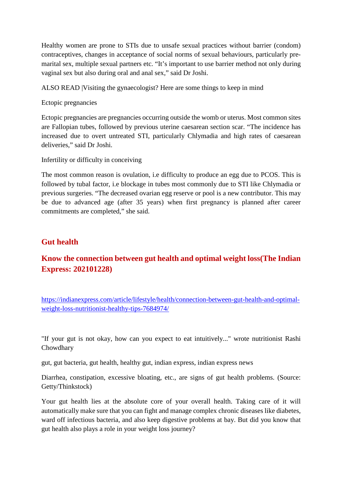Healthy women are prone to STIs due to unsafe sexual practices without barrier (condom) contraceptives, changes in acceptance of social norms of sexual behaviours, particularly premarital sex, multiple sexual partners etc. "It's important to use barrier method not only during vaginal sex but also during oral and anal sex," said Dr Joshi.

ALSO READ |Visiting the gynaecologist? Here are some things to keep in mind

Ectopic pregnancies

Ectopic pregnancies are pregnancies occurring outside the womb or uterus. Most common sites are Fallopian tubes, followed by previous uterine caesarean section scar. "The incidence has increased due to overt untreated STI, particularly Chlymadia and high rates of caesarean deliveries," said Dr Joshi.

Infertility or difficulty in conceiving

The most common reason is ovulation, i.e difficulty to produce an egg due to PCOS. This is followed by tubal factor, i.e blockage in tubes most commonly due to STI like Chlymadia or previous surgeries. "The decreased ovarian egg reserve or pool is a new contributor. This may be due to advanced age (after 35 years) when first pregnancy is planned after career commitments are completed," she said.

#### **Gut health**

# **Know the connection between gut health and optimal weight loss(The Indian Express: 202101228)**

https://indianexpress.com/article/lifestyle/health/connection-between-gut-health-and-optimalweight-loss-nutritionist-healthy-tips-7684974/

"If your gut is not okay, how can you expect to eat intuitively..." wrote nutritionist Rashi Chowdhary

gut, gut bacteria, gut health, healthy gut, indian express, indian express news

Diarrhea, constipation, excessive bloating, etc., are signs of gut health problems. (Source: Getty/Thinkstock)

Your gut health lies at the absolute core of your overall health. Taking care of it will automatically make sure that you can fight and manage complex chronic diseases like diabetes, ward off infectious bacteria, and also keep digestive problems at bay. But did you know that gut health also plays a role in your weight loss journey?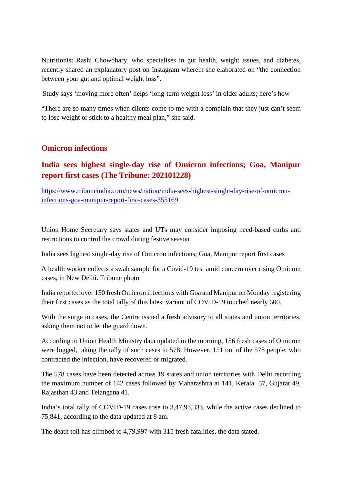Nutritionist Rashi Chowdhary, who specialises in gut health, weight issues, and diabetes, recently shared an explanatory post on Instagram wherein she elaborated on "the connection between your gut and optimal weight loss".

|Study says 'moving more often' helps 'long-term weight loss' in older adults; here's how

"There are so many times when clients come to me with a complain that they just can't seem to lose weight or stick to a healthy meal plan," she said.

## **Omicron infections**

# **India sees highest single-day rise of Omicron infections; Goa, Manipur report first cases (The Tribune: 202101228)**

https://www.tribuneindia.com/news/nation/india-sees-highest-single-day-rise-of-omicroninfections-goa-manipur-report-first-cases-355169

Union Home Secretary says states and UTs may consider imposing need-based curbs and restrictions to control the crowd during festive season

India sees highest single-day rise of Omicron infections; Goa, Manipur report first cases

A health worker collects a swab sample for a Covid-19 test amid concern over rising Omicron cases, in New Delhi. Tribune photo

India reported over 150 fresh Omicron infections with Goa and Manipur on Monday registering their first cases as the total tally of this latest variant of COVID-19 touched nearly 600.

With the surge in cases, the Centre issued a fresh advisory to all states and union territories, asking them not to let the guard down.

According to Union Health Ministry data updated in the morning, 156 fresh cases of Omicron were logged, taking the tally of such cases to 578. However, 151 out of the 578 people, who contracted the infection, have recovered or migrated.

The 578 cases have been detected across 19 states and union territories with Delhi recording the maximum number of 142 cases followed by Maharashtra at 141, Kerala 57, Gujarat 49, Rajasthan 43 and Telangana 41.

India's total tally of COVID-19 cases rose to 3,47,93,333, while the active cases declined to 75,841, according to the data updated at 8 am.

The death toll has climbed to 4,79,997 with 315 fresh fatalities, the data stated.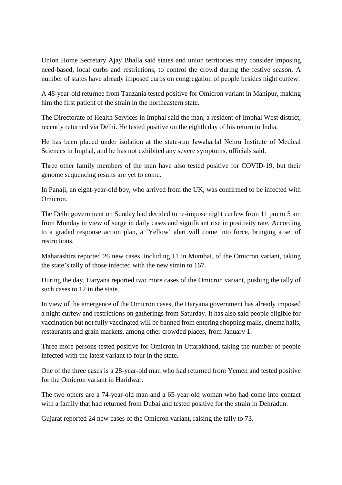Union Home Secretary Ajay Bhalla said states and union territories may consider imposing need-based, local curbs and restrictions, to control the crowd during the festive season. A number of states have already imposed curbs on congregation of people besides night curfew.

A 48-year-old returnee from Tanzania tested positive for Omicron variant in Manipur, making him the first patient of the strain in the northeastern state.

The Directorate of Health Services in Imphal said the man, a resident of Imphal West district, recently returned via Delhi. He tested positive on the eighth day of his return to India.

He has been placed under isolation at the state-run Jawaharlal Nehru Institute of Medical Sciences in Imphal, and he has not exhibited any severe symptoms, officials said.

Three other family members of the man have also tested positive for COVID-19, but their genome sequencing results are yet to come.

In Panaji, an eight-year-old boy, who arrived from the UK, was confirmed to be infected with Omicron.

The Delhi government on Sunday had decided to re-impose night curfew from 11 pm to 5 am from Monday in view of surge in daily cases and significant rise in positivity rate. According to a graded response action plan, a 'Yellow' alert will come into force, bringing a set of restrictions.

Maharashtra reported 26 new cases, including 11 in Mumbai, of the Omicron variant, taking the state's tally of those infected with the new strain to 167.

During the day, Haryana reported two more cases of the Omicron variant, pushing the tally of such cases to 12 in the state.

In view of the emergence of the Omicron cases, the Haryana government has already imposed a night curfew and restrictions on gatherings from Saturday. It has also said people eligible for vaccination but not fully vaccinated will be banned from entering shopping malls, cinema halls, restaurants and grain markets, among other crowded places, from January 1.

Three more persons tested positive for Omicron in Uttarakhand, taking the number of people infected with the latest variant to four in the state.

One of the three cases is a 28-year-old man who had returned from Yemen and tested positive for the Omicron variant in Haridwar.

The two others are a 74-year-old man and a 65-year-old woman who had come into contact with a family that had returned from Dubai and tested positive for the strain in Dehradun.

Gujarat reported 24 new cases of the Omicron variant, raising the tally to 73.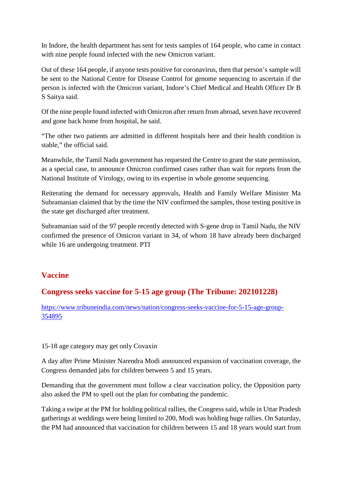In Indore, the health department has sent for tests samples of 164 people, who came in contact with nine people found infected with the new Omicron variant.

Out of these 164 people, if anyone tests positive for coronavirus, then that person's sample will be sent to the National Centre for Disease Control for genome sequencing to ascertain if the person is infected with the Omicron variant, Indore's Chief Medical and Health Officer Dr B S Saitya said.

Of the nine people found infected with Omicron after return from abroad, seven have recovered and gone back home from hospital, he said.

"The other two patients are admitted in different hospitals here and their health condition is stable," the official said.

Meanwhile, the Tamil Nadu government has requested the Centre to grant the state permission, as a special case, to announce Omicron confirmed cases rather than wait for reports from the National Institute of Virology, owing to its expertise in whole genome sequencing.

Reiterating the demand for necessary approvals, Health and Family Welfare Minister Ma Subramanian claimed that by the time the NIV confirmed the samples, those testing positive in the state get discharged after treatment.

Subramanian said of the 97 people recently detected with S-gene drop in Tamil Nadu, the NIV confirmed the presence of Omicron variant in 34, of whom 18 have already been discharged while 16 are undergoing treatment. PTI

#### **Vaccine**

# **Congress seeks vaccine for 5-15 age group (The Tribune: 202101228)**

https://www.tribuneindia.com/news/nation/congress-seeks-vaccine-for-5-15-age-group-354895

#### 15-18 age category may get only Covaxin

A day after Prime Minister Narendra Modi announced expansion of vaccination coverage, the Congress demanded jabs for children between 5 and 15 years.

Demanding that the government must follow a clear vaccination policy, the Opposition party also asked the PM to spell out the plan for combating the pandemic.

Taking a swipe at the PM for holding political rallies, the Congress said, while in Uttar Pradesh gatherings at weddings were being limited to 200, Modi was holding huge rallies. On Saturday, the PM had announced that vaccination for children between 15 and 18 years would start from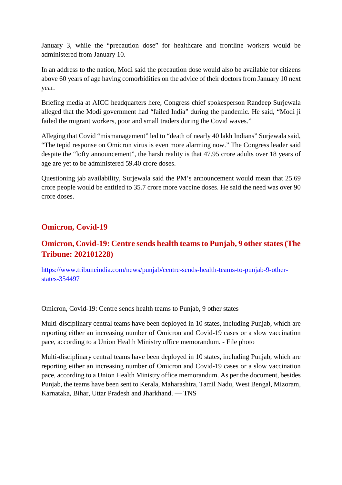January 3, while the "precaution dose" for healthcare and frontline workers would be administered from January 10.

In an address to the nation, Modi said the precaution dose would also be available for citizens above 60 years of age having comorbidities on the advice of their doctors from January 10 next year.

Briefing media at AICC headquarters here, Congress chief spokesperson Randeep Surjewala alleged that the Modi government had "failed India" during the pandemic. He said, "Modi ji failed the migrant workers, poor and small traders during the Covid waves."

Alleging that Covid "mismanagement" led to "death of nearly 40 lakh Indians" Surjewala said, "The tepid response on Omicron virus is even more alarming now." The Congress leader said despite the "lofty announcement", the harsh reality is that 47.95 crore adults over 18 years of age are yet to be administered 59.40 crore doses.

Questioning jab availability, Surjewala said the PM's announcement would mean that 25.69 crore people would be entitled to 35.7 crore more vaccine doses. He said the need was over 90 crore doses.

#### **Omicron, Covid-19**

# **Omicron, Covid-19: Centre sends health teams to Punjab, 9 other states (The Tribune: 202101228)**

https://www.tribuneindia.com/news/punjab/centre-sends-health-teams-to-punjab-9-otherstates-354497

Omicron, Covid-19: Centre sends health teams to Punjab, 9 other states

Multi-disciplinary central teams have been deployed in 10 states, including Punjab, which are reporting either an increasing number of Omicron and Covid-19 cases or a slow vaccination pace, according to a Union Health Ministry office memorandum. - File photo

Multi-disciplinary central teams have been deployed in 10 states, including Punjab, which are reporting either an increasing number of Omicron and Covid-19 cases or a slow vaccination pace, according to a Union Health Ministry office memorandum. As per the document, besides Punjab, the teams have been sent to Kerala, Maharashtra, Tamil Nadu, West Bengal, Mizoram, Karnataka, Bihar, Uttar Pradesh and Jharkhand. — TNS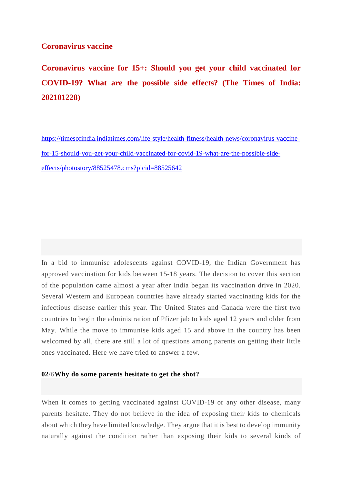#### **Coronavirus vaccine**

**Coronavirus vaccine for 15+: Should you get your child vaccinated for COVID-19? What are the possible side effects? (The Times of India: 202101228)**

https://timesofindia.indiatimes.com/life-style/health-fitness/health-news/coronavirus-vaccinefor-15-should-you-get-your-child-vaccinated-for-covid-19-what-are-the-possible-sideeffects/photostory/88525478.cms?picid=88525642

In a bid to immunise adolescents against COVID-19, the Indian Government has approved vaccination for kids between 15-18 years. The decision to cover this section of the population came almost a year after India began its vaccination drive in 2020. Several Western and European countries have already started vaccinating kids for the infectious disease earlier this year. The United States and Canada were the first two countries to begin the administration of Pfizer jab to kids aged 12 years and older from May. While the move to immunise kids aged 15 and above in the country has been welcomed by all, there are still a lot of questions among parents on getting their little ones vaccinated. Here we have tried to answer a few.

#### **02/6Why do some parents hesitate to get the shot?**

When it comes to getting vaccinated against COVID-19 or any other disease, many parents hesitate. They do not believe in the idea of exposing their kids to chemicals about which they have limited knowledge. They argue that it is best to develop immunity naturally against the condition rather than exposing their kids to several kinds of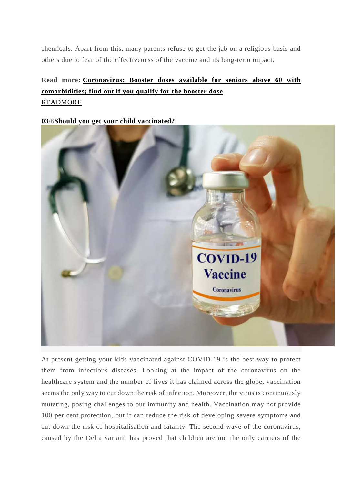chemicals. Apart from this, many parents refuse to get the jab on a religious basis and others due to fear of the effectiveness of the vaccine and its long-term impact.

# **Read more: Coronavirus: Booster doses available for seniors above 60 with comorbidities; find out if you qualify for the booster dose** READMORE

**03/6Should you get your child vaccinated?**



At present getting your kids vaccinated against COVID-19 is the best way to protect them from infectious diseases. Looking at the impact of the coronavirus on the healthcare system and the number of lives it has claimed across the globe, vaccination seems the only way to cut down the risk of infection. Moreover, the virus is continuously mutating, posing challenges to our immunity and health. Vaccination may not provide 100 per cent protection, but it can reduce the risk of developing severe symptoms and cut down the risk of hospitalisation and fatality. The second wave of the coronavirus, caused by the Delta variant, has proved that children are not the only carriers of the